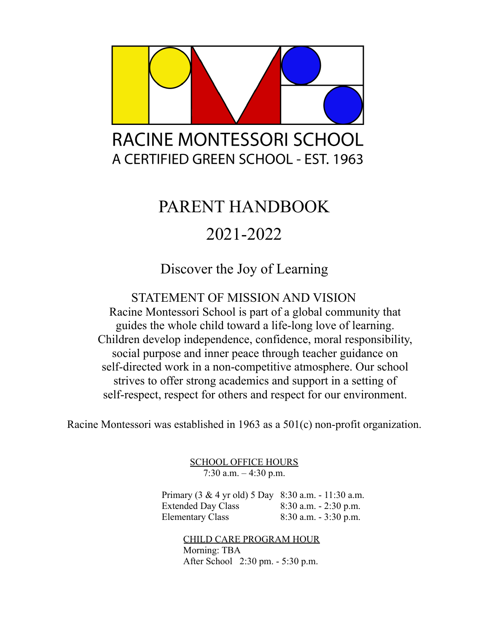

# PARENT HANDBOOK 2021-2022

Discover the Joy of Learning

STATEMENT OF MISSION AND VISION Racine Montessori School is part of a global community that guides the whole child toward a life-long love of learning. Children develop independence, confidence, moral responsibility, social purpose and inner peace through teacher guidance on self-directed work in a non-competitive atmosphere. Our school strives to offer strong academics and support in a setting of self-respect, respect for others and respect for our environment.

Racine Montessori was established in 1963 as a 501(c) non-profit organization.

SCHOOL OFFICE HOURS  $7:30$  a.m.  $-4:30$  p.m.

Primary (3 & 4 yr old) 5 Day 8:30 a.m. - 11:30 a.m. Extended Day Class 8:30 a.m. - 2:30 p.m. Elementary Class 8:30 a.m. - 3:30 p.m.

> CHILD CARE PROGRAM HOUR Morning: TBA After School 2:30 pm. - 5:30 p.m.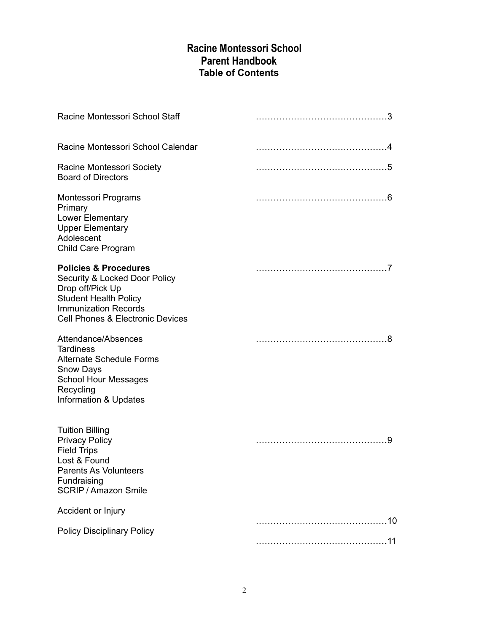# **Racine Montessori School Parent Handbook Table of Contents**

| Racine Montessori School Staff                                                                                                                                                                      |  |
|-----------------------------------------------------------------------------------------------------------------------------------------------------------------------------------------------------|--|
| Racine Montessori School Calendar                                                                                                                                                                   |  |
| Racine Montessori Society<br><b>Board of Directors</b>                                                                                                                                              |  |
| Montessori Programs<br>Primary<br>Lower Elementary<br><b>Upper Elementary</b><br>Adolescent<br>Child Care Program                                                                                   |  |
| <b>Policies &amp; Procedures</b><br>Security & Locked Door Policy<br>Drop off/Pick Up<br><b>Student Health Policy</b><br><b>Immunization Records</b><br><b>Cell Phones &amp; Electronic Devices</b> |  |
| Attendance/Absences<br><b>Tardiness</b><br><b>Alternate Schedule Forms</b><br><b>Snow Days</b><br><b>School Hour Messages</b><br>Recycling<br>Information & Updates                                 |  |
| <b>Tuition Billing</b><br><b>Privacy Policy</b><br><b>Field Trips</b><br>Lost & Found<br>Parents As Volunteers<br>Fundraising<br><b>SCRIP / Amazon Smile</b>                                        |  |
| Accident or Injury                                                                                                                                                                                  |  |
| <b>Policy Disciplinary Policy</b>                                                                                                                                                                   |  |
|                                                                                                                                                                                                     |  |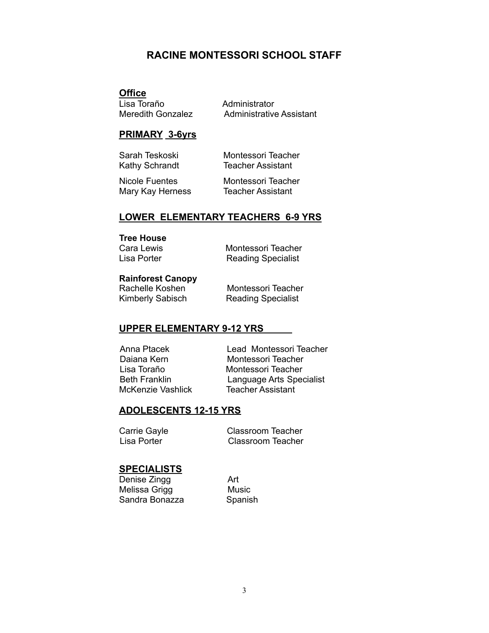## **RACINE MONTESSORI SCHOOL STAFF**

#### **Office**

Lisa Toraño **Administrator**<br>Meredith Gonzalez Administrative Administrative Assistant

#### **PRIMARY 3-6yrs**

Sarah Teskoski Montessori Teacher Kathy Schrandt Teacher Assistant

Nicole Fuentes Montessori Teacher Mary Kay Herness Teacher Assistant

#### **LOWER ELEMENTARY TEACHERS 6-9 YRS**

#### **Tree House**

Cara Lewis Montessori Teacher Lisa Porter Reading Specialist

#### **Rainforest Canopy**

Rachelle Koshen Montessori Teacher Kimberly Sabisch Reading Specialist

#### **UPPER ELEMENTARY 9-12 YRS**

McKenzie Vashlick

Anna Ptacek Lead Montessori Teacher Daiana Kern Montessori Teacher Lisa Toraño **Montessori Teacher**<br>Beth Franklin **Montessori Teacher** Language Arts Specialist<br>Teacher Assistant

#### **ADOLESCENTS 12-15 YRS**

Carrie Gayle **Classroom Teacher** Lisa Porter Classroom Teacher

#### **SPECIALISTS**

Denise Zingg<br>
Melissa Grigg<br>
Music Melissa Grigg Sandra Bonazza Spanish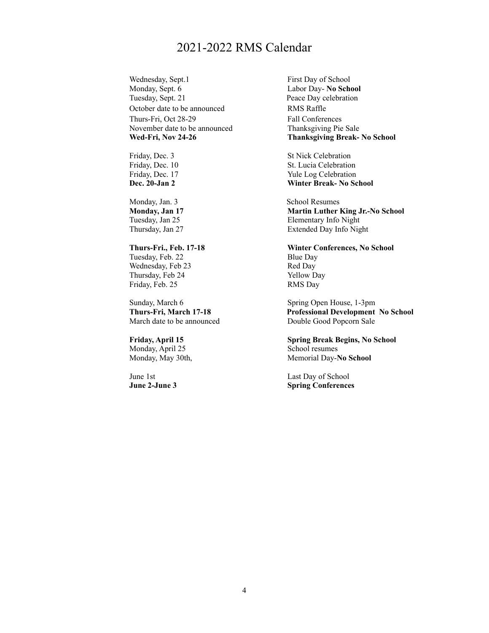# 2021-2022 RMS Calendar

Wednesday, Sept.1 First Day of School Monday, Sept. 6 Labor Day- **No School** Tuesday, Sept. 21 Peace Day celebration October date to be announced RMS Raffle Thurs-Fri, Oct 28-29 Fall Conferences November date to be announced Thanksgiving Pie Sale

Monday, Jan. 3 School Resumes

Tuesday, Feb. 22 Blue Day Wednesday, Feb 23 Red Day Thursday, Feb 24 Yellow Day Friday, Feb. 25 RMS Day

Sunday, March 6 Spring Open House, 1-3pm<br> **Thurs-Fri, March 17-18 Spring Open House, 1-3pm**<br> **Professional Development** March date to be announced Double Good Popcorn Sale

Monday, April 25 School resumes

**Wed-Fri, Nov 24-26 Thanksgiving Break- No School**

Friday, Dec. 3 St Nick Celebration Friday, Dec. 10 St. Lucia Celebration Friday, Dec. 17 Yule Log Celebration **Dec. 20-Jan 2 Winter Break- No School**

**Monday, Jan 17 Martin Luther King Jr.-No School** Tuesday, Jan 25 Elementary Info Night Thursday, Jan 27 Extended Day Info Night

**Thurs-Fri., Feb. 17-18 Winter Conferences, No School**

**Thurs-Fri, March 17-18 Professional Development No School**

**Friday, April 15 Spring Break Begins, No School** Monday, May 30th, Memorial Day-No School

June 1st Last Day of School **June 2-June 3 Spring Conferences**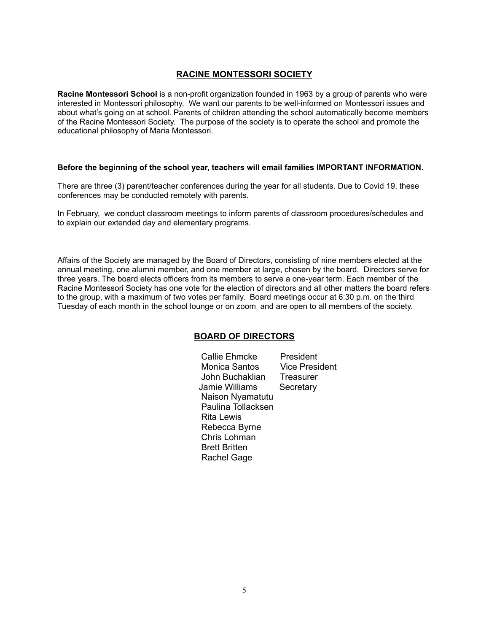#### **RACINE MONTESSORI SOCIETY**

**Racine Montessori School** is a non-profit organization founded in 1963 by a group of parents who were interested in Montessori philosophy. We want our parents to be well-informed on Montessori issues and about what's going on at school. Parents of children attending the school automatically become members of the Racine Montessori Society. The purpose of the society is to operate the school and promote the educational philosophy of Maria Montessori.

#### **Before the beginning of the school year, teachers will email families IMPORTANT INFORMATION.**

There are three (3) parent/teacher conferences during the year for all students. Due to Covid 19, these conferences may be conducted remotely with parents.

In February, we conduct classroom meetings to inform parents of classroom procedures/schedules and to explain our extended day and elementary programs.

Affairs of the Society are managed by the Board of Directors, consisting of nine members elected at the annual meeting, one alumni member, and one member at large, chosen by the board. Directors serve for three years. The board elects officers from its members to serve a one-year term. Each member of the Racine Montessori Society has one vote for the election of directors and all other matters the board refers to the group, with a maximum of two votes per family. Board meetings occur at 6:30 p.m. on the third Tuesday of each month in the school lounge or on zoom and are open to all members of the society.

#### **BOARD OF DIRECTORS**

Callie Ehmcke President Monica Santos Vice President John Buchaklian Treasurer Jamie Williams Secretary Naison Nyamatutu Paulina Tollacksen Rita Lewis Rebecca Byrne Chris Lohman Brett Britten Rachel Gage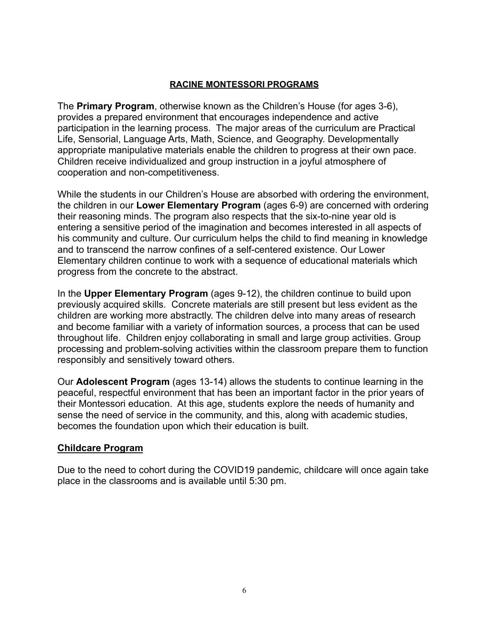### **RACINE MONTESSORI PROGRAMS**

The **Primary Program**, otherwise known as the Children's House (for ages 3-6), provides a prepared environment that encourages independence and active participation in the learning process. The major areas of the curriculum are Practical Life, Sensorial, Language Arts, Math, Science, and Geography. Developmentally appropriate manipulative materials enable the children to progress at their own pace. Children receive individualized and group instruction in a joyful atmosphere of cooperation and non-competitiveness.

While the students in our Children's House are absorbed with ordering the environment, the children in our **Lower Elementary Program** (ages 6-9) are concerned with ordering their reasoning minds. The program also respects that the six-to-nine year old is entering a sensitive period of the imagination and becomes interested in all aspects of his community and culture. Our curriculum helps the child to find meaning in knowledge and to transcend the narrow confines of a self-centered existence. Our Lower Elementary children continue to work with a sequence of educational materials which progress from the concrete to the abstract.

In the **Upper Elementary Program** (ages 9-12), the children continue to build upon previously acquired skills. Concrete materials are still present but less evident as the children are working more abstractly. The children delve into many areas of research and become familiar with a variety of information sources, a process that can be used throughout life. Children enjoy collaborating in small and large group activities. Group processing and problem-solving activities within the classroom prepare them to function responsibly and sensitively toward others.

Our **Adolescent Program** (ages 13-14) allows the students to continue learning in the peaceful, respectful environment that has been an important factor in the prior years of their Montessori education. At this age, students explore the needs of humanity and sense the need of service in the community, and this, along with academic studies, becomes the foundation upon which their education is built.

## **Childcare Program**

Due to the need to cohort during the COVID19 pandemic, childcare will once again take place in the classrooms and is available until 5:30 pm.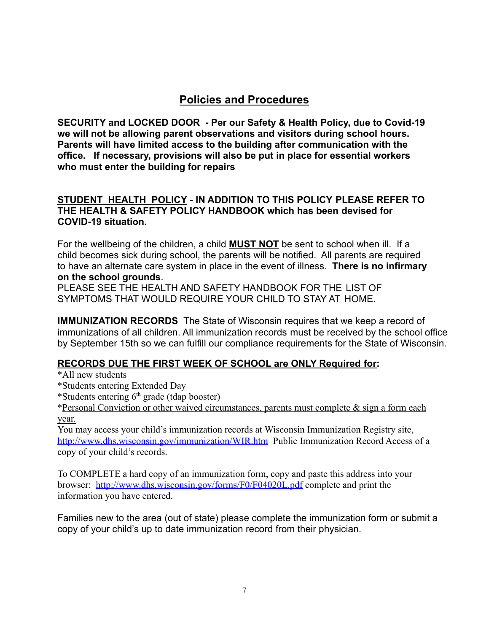# **Policies and Procedures**

**SECURITY and LOCKED DOOR - Per our Safety & Health Policy, due to Covid-19 we will not be allowing parent observations and visitors during school hours. Parents will have limited access to the building after communication with the office. If necessary, provisions will also be put in place for essential workers who must enter the building for repairs**

### **STUDENT HEALTH POLICY** - **IN ADDITION TO THIS POLICY PLEASE REFER TO THE HEALTH & SAFETY POLICY HANDBOOK which has been devised for COVID-19 situation.**

For the wellbeing of the children, a child **MUST NOT** be sent to school when ill. If a child becomes sick during school, the parents will be notified. All parents are required to have an alternate care system in place in the event of illness. **There is no infirmary on the school grounds**.

PLEASE SEE THE HEALTH AND SAFETY HANDBOOK FOR THE LIST OF SYMPTOMS THAT WOULD REQUIRE YOUR CHILD TO STAY AT HOME.

**IMMUNIZATION RECORDS** The State of Wisconsin requires that we keep a record of immunizations of all children. All immunization records must be received by the school office by September 15th so we can fulfill our compliance requirements for the State of Wisconsin.

## **RECORDS DUE THE FIRST WEEK OF SCHOOL are ONLY Required for:**

\*All new students

- \*Students entering Extended Day
- \*Students entering  $6<sup>th</sup>$  grade (tdap booster)

\*Personal Conviction or other waived circumstances, parents must complete  $\&$  sign a form each year.

You may access your child's immunization records at Wisconsin Immunization Registry site, <http://www.dhs.wisconsin.gov/immunization/WIR.htm> Public Immunization Record Access of a copy of your child's records.

To COMPLETE a hard copy of an immunization form, copy and paste this address into your browser: <http://www.dhs.wisconsin.gov/forms/F0/F04020L.pdf> complete and print the information you have entered.

Families new to the area (out of state) please complete the immunization form or submit a copy of your child's up to date immunization record from their physician.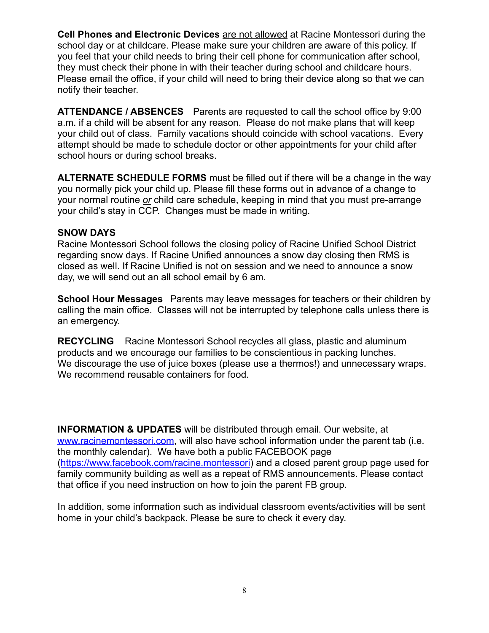**Cell Phones and Electronic Devices** are not allowed at Racine Montessori during the school day or at childcare. Please make sure your children are aware of this policy. If you feel that your child needs to bring their cell phone for communication after school, they must check their phone in with their teacher during school and childcare hours. Please email the office, if your child will need to bring their device along so that we can notify their teacher.

**ATTENDANCE / ABSENCES** Parents are requested to call the school office by 9:00 a.m. if a child will be absent for any reason. Please do not make plans that will keep your child out of class. Family vacations should coincide with school vacations. Every attempt should be made to schedule doctor or other appointments for your child after school hours or during school breaks.

**ALTERNATE SCHEDULE FORMS** must be filled out if there will be a change in the way you normally pick your child up. Please fill these forms out in advance of a change to your normal routine *or* child care schedule, keeping in mind that you must pre-arrange your child's stay in CCP. Changes must be made in writing.

#### **SNOW DAYS**

Racine Montessori School follows the closing policy of Racine Unified School District regarding snow days. If Racine Unified announces a snow day closing then RMS is closed as well. If Racine Unified is not on session and we need to announce a snow day, we will send out an all school email by 6 am.

**School Hour Messages** Parents may leave messages for teachers or their children by calling the main office. Classes will not be interrupted by telephone calls unless there is an emergency.

**RECYCLING** Racine Montessori School recycles all glass, plastic and aluminum products and we encourage our families to be conscientious in packing lunches. We discourage the use of juice boxes (please use a thermos!) and unnecessary wraps. We recommend reusable containers for food.

**INFORMATION & UPDATES** will be distributed through email. Our website, at [www.racinemontessori.com](http://www.racinemontessori.com), will also have school information under the parent tab (i.e. the monthly calendar). We have both a public FACEBOOK page (<https://www.facebook.com/racine.montessori>) and a closed parent group page used for family community building as well as a repeat of RMS announcements. Please contact that office if you need instruction on how to join the parent FB group.

In addition, some information such as individual classroom events/activities will be sent home in your child's backpack. Please be sure to check it every day.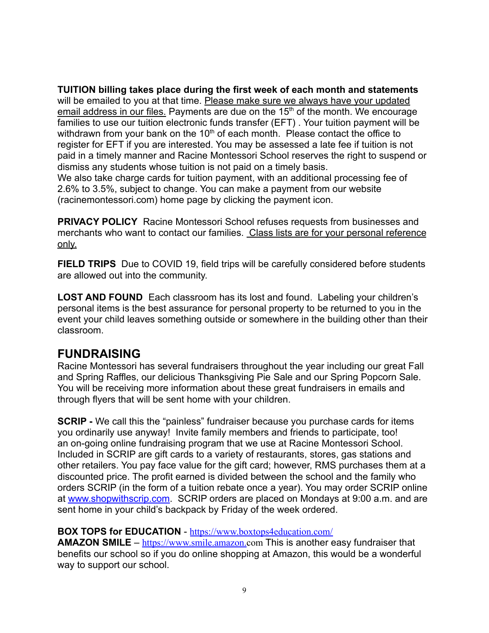**TUITION billing takes place during the first week of each month and statements** will be emailed to you at that time. Please make sure we always have your updated email address in our files. Payments are due on the  $15<sup>th</sup>$  of the month. We encourage families to use our tuition electronic funds transfer (EFT) . Your tuition payment will be withdrawn from your bank on the  $10<sup>th</sup>$  of each month. Please contact the office to register for EFT if you are interested. You may be assessed a late fee if tuition is not paid in a timely manner and Racine Montessori School reserves the right to suspend or dismiss any students whose tuition is not paid on a timely basis. We also take charge cards for tuition payment, with an additional processing fee of 2.6% to 3.5%, subject to change. You can make a payment from our website (racinemontessori.com) home page by clicking the payment icon.

**PRIVACY POLICY** Racine Montessori School refuses requests from businesses and merchants who want to contact our families. Class lists are for your personal reference only.

**FIELD TRIPS** Due to COVID 19, field trips will be carefully considered before students are allowed out into the community.

**LOST AND FOUND** Each classroom has its lost and found. Labeling your children's personal items is the best assurance for personal property to be returned to you in the event your child leaves something outside or somewhere in the building other than their classroom.

# **FUNDRAISING**

Racine Montessori has several fundraisers throughout the year including our great Fall and Spring Raffles, our delicious Thanksgiving Pie Sale and our Spring Popcorn Sale. You will be receiving more information about these great fundraisers in emails and through flyers that will be sent home with your children.

**SCRIP** - We call this the "painless" fundraiser because you purchase cards for items you ordinarily use anyway! Invite family members and friends to participate, too! an on-going online fundraising program that we use at Racine Montessori School. Included in SCRIP are gift cards to a variety of restaurants, stores, gas stations and other retailers. You pay face value for the gift card; however, RMS purchases them at a discounted price. The profit earned is divided between the school and the family who orders SCRIP (in the form of a tuition rebate once a year). You may order SCRIP online at [www.shop](http://www.shop)withscrip.com. SCRIP orders are placed on Mondays at 9:00 a.m. and are sent home in your child's backpack by Friday of the week ordered.

### **BOX TOPS for EDUCATION** - <https://www.boxtops4education.com/>

**AMAZON SMILE** – <https://www.smile.amazon.com> This is another easy fundraiser that benefits our school so if you do online shopping at Amazon, this would be a wonderful way to support our school.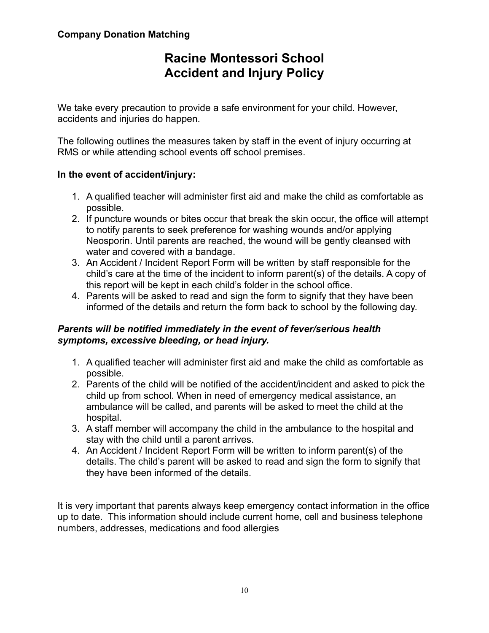# **Racine Montessori School Accident and Injury Policy**

We take every precaution to provide a safe environment for your child. However, accidents and injuries do happen.

The following outlines the measures taken by staff in the event of injury occurring at RMS or while attending school events off school premises.

# **In the event of accident/injury:**

- 1. A qualified teacher will administer first aid and make the child as comfortable as possible.
- 2. If puncture wounds or bites occur that break the skin occur, the office will attempt to notify parents to seek preference for washing wounds and/or applying Neosporin. Until parents are reached, the wound will be gently cleansed with water and covered with a bandage.
- 3. An Accident / Incident Report Form will be written by staff responsible for the child's care at the time of the incident to inform parent(s) of the details. A copy of this report will be kept in each child's folder in the school office.
- 4. Parents will be asked to read and sign the form to signify that they have been informed of the details and return the form back to school by the following day.

## *Parents will be notified immediately in the event of fever/serious health symptoms, excessive bleeding, or head injury.*

- 1. A qualified teacher will administer first aid and make the child as comfortable as possible.
- 2. Parents of the child will be notified of the accident/incident and asked to pick the child up from school. When in need of emergency medical assistance, an ambulance will be called, and parents will be asked to meet the child at the hospital.
- 3. A staff member will accompany the child in the ambulance to the hospital and stay with the child until a parent arrives.
- 4. An Accident / Incident Report Form will be written to inform parent(s) of the details. The child's parent will be asked to read and sign the form to signify that they have been informed of the details.

It is very important that parents always keep emergency contact information in the office up to date. This information should include current home, cell and business telephone numbers, addresses, medications and food allergies